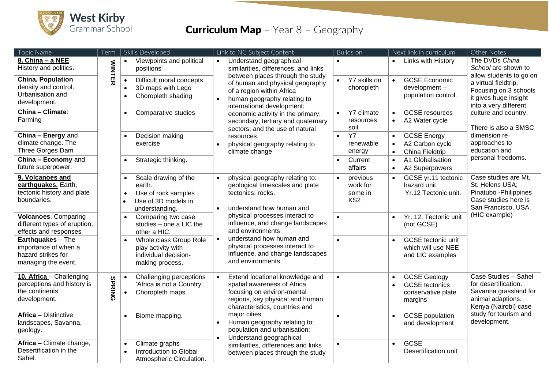

## **Curriculum Map** - Year 8 - Geography

| Topic Name                                                                               | Term          | Skills Developed                                                                                                         |                                                                             | Link to NC Subject Content                                                                                                                                                                                   |                           | Builds on                                                             |                                     | Next link in curriculum                                                       | Other Notes                                                                                                                |
|------------------------------------------------------------------------------------------|---------------|--------------------------------------------------------------------------------------------------------------------------|-----------------------------------------------------------------------------|--------------------------------------------------------------------------------------------------------------------------------------------------------------------------------------------------------------|---------------------------|-----------------------------------------------------------------------|-------------------------------------|-------------------------------------------------------------------------------|----------------------------------------------------------------------------------------------------------------------------|
| 8. China - a NEE<br>History and politics.                                                | <b>NINTE</b>  | Viewpoints and political<br>positions                                                                                    | $\bullet$                                                                   | Understand geographical<br>similarities, differences, and links                                                                                                                                              |                           |                                                                       |                                     | • Links with History                                                          | The DVDs China<br>School are shown to                                                                                      |
| <b>China. Population</b><br>density and control.<br>Urbanisation and<br>development.     | 刀             | Difficult moral concepts<br>$\bullet$<br>3D maps with Lego<br>$\bullet$<br>Choropleth shading<br>$\bullet$               |                                                                             | between places through the study<br>of human and physical geography<br>of a region within Africa<br>human geography relating to<br>international development;                                                | $\bullet$                 | Y7 skills on<br>choropleth                                            | $\bullet$                           | <b>GCSE Economic</b><br>development-<br>population control.                   | allow students to go on<br>a virtual fieldtrip.<br>Focusing on 3 schools<br>it gives huge insight<br>into a very different |
| China - Climate:<br>Farming                                                              |               | Comparative studies<br>$\bullet$                                                                                         |                                                                             | economic activity in the primary,<br>secondary, tertiary and quaternary<br>sectors; and the use of natural                                                                                                   | $\bullet$                 | Y7 climate<br>resources<br>soil.                                      | $\bullet$                           | <b>GCSE</b> resources<br>A2 Water cycle                                       | culture and country.<br>There is also a SMSC                                                                               |
| China - Energy and<br>climate change. The<br>Three Gorges Dam                            |               | Decision making<br>exercise                                                                                              | resources.<br>physical geography relating to<br>$\bullet$<br>climate change | $\bullet$                                                                                                                                                                                                    | Y7<br>renewable<br>energy | <b>GCSE Energy</b><br>A2 Carbon cycle<br>China Fieldtrip<br>$\bullet$ |                                     | dimension re<br>approaches to<br>education and                                |                                                                                                                            |
| China - Economy and<br>future superpower.                                                |               | Strategic thinking.<br>$\bullet$                                                                                         |                                                                             |                                                                                                                                                                                                              | $\bullet$                 | Current<br>affairs                                                    | $\bullet$<br>$\bullet$              | A1 Globalisation<br>A2 Superpowers                                            | personal freedoms.                                                                                                         |
| 9. Volcanoes and<br>earthquakes. Earth,<br>tectonic history and plate<br>boundaries.     |               | Scale drawing of the<br>earth.<br>Use of rock samples<br>$\bullet$<br>Use of 3D models in<br>$\bullet$<br>understanding. | $\bullet$                                                                   | physical geography relating to:<br>geological timescales and plate<br>tectonics; rocks.<br>understand how human and                                                                                          |                           | previous<br>work for<br>some in<br>KS <sub>2</sub>                    |                                     | GCSE yr.11 tectonic<br>hazard unit<br>Yr.12 Tectonic unit.                    | Case studies are Mt.<br>St. Helens USA;<br>Pinatubo - Philippines<br>Case studies here is<br>San Francisco, USA.           |
| <b>Volcanoes. Comparing</b><br>different types of eruption,<br>effects and responses     |               | Comparing two case<br>$\bullet$<br>studies - one a LIC the<br>other a HIC.                                               |                                                                             | physical processes interact to<br>influence, and change landscapes<br>and environments<br>understand how human and<br>physical processes interact to<br>influence, and change landscapes<br>and environments | $\bullet$                 |                                                                       | $\bullet$                           | Yr. 12. Tectonic unit<br>(not GCSE)                                           | (HIC example)                                                                                                              |
| Earthquakes - The<br>importance of when a<br>hazard strikes for<br>managing the event.   |               | Whole class Group Role<br>play activity with<br>individual decision-<br>making process.                                  |                                                                             |                                                                                                                                                                                                              | $\bullet$                 |                                                                       | $\bullet$                           | <b>GCSE</b> tectonic unit<br>which will use NEE<br>and LIC examples           |                                                                                                                            |
| 10. Africa - Challenging<br>perceptions and history is<br>the continents<br>development. | <b>SPRING</b> | Challenging perceptions<br>'Africa is not a Country'.<br>Choropleth maps.<br>$\bullet$                                   |                                                                             | Extend locational knowledge and<br>spatial awareness of Africa<br>focusing on environ-mental<br>regions, key physical and human<br>characteristics, countries and                                            | $\bullet$                 |                                                                       |                                     | <b>GCSE Geology</b><br><b>GCSE</b> tectonics<br>conservative plate<br>margins | Case Studies - Sahel<br>for desertification.<br>Savanna grassland for<br>animal adaptions.<br>Kenya (Nairobi) case         |
| <b>Africa</b> - Distinctive<br>landscapes, Savanna,<br>geology.                          |               | Biome mapping.<br>$\bullet$                                                                                              |                                                                             | major cities<br>$\bullet$<br>Human geography relating to:<br>population and urbanisation;<br>Understand geographical                                                                                         |                           |                                                                       | $\bullet$                           | <b>GCSE</b> population<br>and development                                     | study for tourism and<br>development.                                                                                      |
| Africa - Climate change,<br>Desertification in the<br>Sahel.                             |               | Climate graphs<br>$\bullet$<br>Introduction to Global<br>Atmospheric Circulation.                                        | similarities, differences and links<br>between places through the study     | $\bullet$                                                                                                                                                                                                    |                           | $\bullet$                                                             | <b>GCSE</b><br>Desertification unit |                                                                               |                                                                                                                            |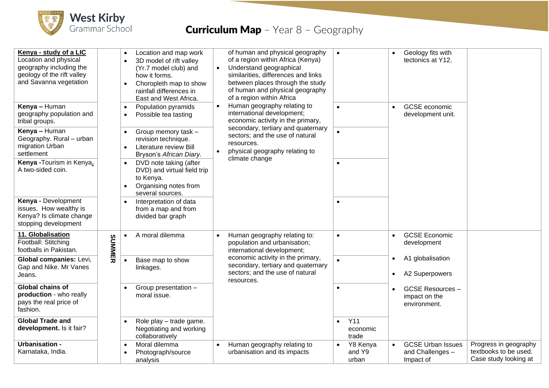

## **Curriculum Map** - Year 8 - Geography

| Kenya - study of a LIC<br>Location and physical<br>geography including the<br>geology of the rift valley<br>and Savanna vegetation |        | Location and map work<br>$\bullet$<br>3D model of rift valley<br>$\bullet$<br>(Yr.7 model club) and<br>how it forms.<br>Choropleth map to show<br>rainfall differences in<br>East and West Africa. | $\bullet$ | of human and physical geography<br>of a region within Africa (Kenya)<br>Understand geographical<br>similarities, differences and links<br>between places through the study<br>of human and physical geography<br>of a region within Africa | $\bullet$ |                                 |                                    | Geology fits with<br>tectonics at Y12.                    |                                                                         |
|------------------------------------------------------------------------------------------------------------------------------------|--------|----------------------------------------------------------------------------------------------------------------------------------------------------------------------------------------------------|-----------|--------------------------------------------------------------------------------------------------------------------------------------------------------------------------------------------------------------------------------------------|-----------|---------------------------------|------------------------------------|-----------------------------------------------------------|-------------------------------------------------------------------------|
| Kenya - Human<br>geography population and<br>tribal groups.                                                                        |        | Population pyramids<br>$\bullet$<br>Possible tea tasting<br>$\bullet$                                                                                                                              |           | Human geography relating to<br>international development;<br>economic activity in the primary,                                                                                                                                             | $\bullet$ |                                 | $\bullet$                          | <b>GCSE</b> economic<br>development unit.                 |                                                                         |
| Kenya - Human<br>Geography. Rural - urban<br>migration Urban<br>settlement                                                         |        | Group memory task -<br>$\bullet$<br>revision technique.<br><b>Literature review Bill</b><br>$\bullet$<br>Bryson's African Diary.                                                                   | $\bullet$ | secondary, tertiary and quaternary<br>sectors; and the use of natural<br>resources.<br>physical geography relating to<br>climate change                                                                                                    | $\bullet$ |                                 |                                    |                                                           |                                                                         |
| Kenya - Tourism in Kenya.<br>A two-sided coin.                                                                                     |        | DVD note taking (after<br>$\bullet$<br>DVD) and virtual field trip<br>to Kenya.<br>Organising notes from<br>$\bullet$<br>several sources.                                                          |           |                                                                                                                                                                                                                                            | $\bullet$ |                                 |                                    |                                                           |                                                                         |
| Kenya - Development<br>issues. How wealthy is<br>Kenya? Is climate change<br>stopping development                                  |        | Interpretation of data<br>from a map and from<br>divided bar graph                                                                                                                                 |           |                                                                                                                                                                                                                                            |           |                                 |                                    |                                                           |                                                                         |
| 11. Globalisation<br>Football: Stitching<br>footballs in Pakistan.                                                                 | SUMMER | A moral dilemma<br>$\bullet$                                                                                                                                                                       |           | Human geography relating to:<br>population and urbanisation;<br>international development;                                                                                                                                                 | $\bullet$ |                                 | $\bullet$                          | <b>GCSE Economic</b><br>development                       |                                                                         |
| Global companies: Levi,<br>Gap and Nike. Mr Vanes<br>Jeans.                                                                        |        | Base map to show<br>linkages.                                                                                                                                                                      |           | economic activity in the primary,<br>secondary, tertiary and quaternary<br>sectors; and the use of natural<br>resources.                                                                                                                   | $\bullet$ | $\bullet$<br>$\bullet$          | A1 globalisation<br>A2 Superpowers |                                                           |                                                                         |
| <b>Global chains of</b><br>production - who really<br>pays the real price of<br>fashion.                                           |        | Group presentation -<br>moral issue.                                                                                                                                                               |           |                                                                                                                                                                                                                                            | $\bullet$ |                                 |                                    | <b>GCSE Resources -</b><br>impact on the<br>environment.  |                                                                         |
| <b>Global Trade and</b><br>development. Is it fair?                                                                                |        | Role play - trade game.<br>Negotiating and working<br>collaboratively                                                                                                                              |           |                                                                                                                                                                                                                                            |           | <b>Y11</b><br>economic<br>trade |                                    |                                                           |                                                                         |
| <b>Urbanisation -</b><br>Karnataka, India.                                                                                         |        | Moral dilemma<br>$\bullet$<br>Photograph/source<br>analysis                                                                                                                                        |           | Human geography relating to<br>urbanisation and its impacts                                                                                                                                                                                |           | Y8 Kenya<br>and Y9<br>urban     | $\bullet$                          | <b>GCSE Urban Issues</b><br>and Challenges -<br>Impact of | Progress in geography<br>textbooks to be used.<br>Case study looking at |